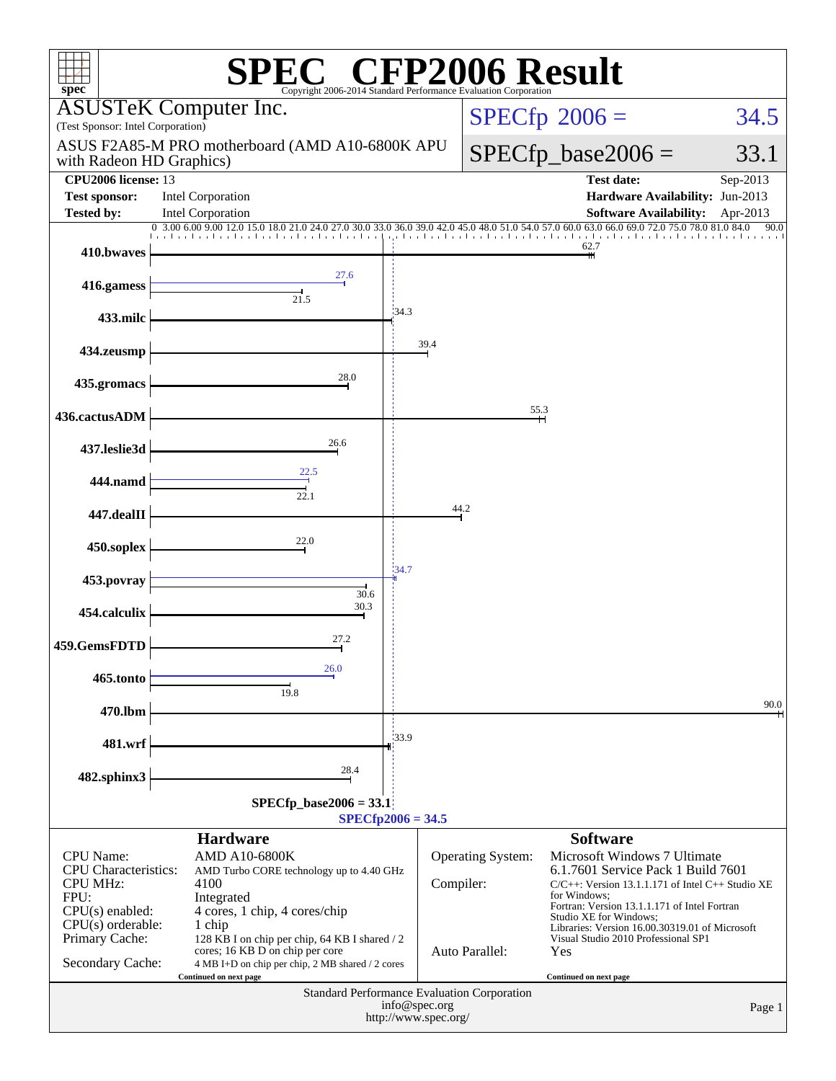| <b>CFP2006 Result</b><br>$spec^*$<br>Copyright 2006-2014 Standard Performance E                                 |                                                                                                                                                                |           |                   |                                                                                                                                                                                                                       |          |  |  |  |
|-----------------------------------------------------------------------------------------------------------------|----------------------------------------------------------------------------------------------------------------------------------------------------------------|-----------|-------------------|-----------------------------------------------------------------------------------------------------------------------------------------------------------------------------------------------------------------------|----------|--|--|--|
| (Test Sponsor: Intel Corporation)                                                                               | <b>ASUSTeK Computer Inc.</b>                                                                                                                                   |           |                   | $SPECfp^{\circ}2006 =$                                                                                                                                                                                                | 34.5     |  |  |  |
| with Radeon HD Graphics)                                                                                        | ASUS F2A85-M PRO motherboard (AMD A10-6800K APU                                                                                                                |           |                   | $SPECfp\_base2006 =$                                                                                                                                                                                                  | 33.1     |  |  |  |
| <b>CPU2006</b> license: 13                                                                                      |                                                                                                                                                                |           |                   | <b>Test date:</b>                                                                                                                                                                                                     | Sep-2013 |  |  |  |
| <b>Test sponsor:</b><br><b>Tested by:</b>                                                                       | Intel Corporation<br>Intel Corporation                                                                                                                         |           |                   | Hardware Availability: Jun-2013<br><b>Software Availability:</b>                                                                                                                                                      | Apr-2013 |  |  |  |
|                                                                                                                 | 0 3.00 6.00 9.00 12.0 15<br>33.0 36.0 39.0                                                                                                                     |           |                   | 60.0 63.0 66.0 69.0 72.0 75.0 78.0 81.0 84.0                                                                                                                                                                          | 90.0     |  |  |  |
| 410.bwaves                                                                                                      |                                                                                                                                                                |           |                   | 62.7                                                                                                                                                                                                                  |          |  |  |  |
| 416.gamess                                                                                                      | 27.6<br>21.5                                                                                                                                                   |           |                   |                                                                                                                                                                                                                       |          |  |  |  |
| 433.milc                                                                                                        | 34.3                                                                                                                                                           |           |                   |                                                                                                                                                                                                                       |          |  |  |  |
| 434.zeusmp                                                                                                      |                                                                                                                                                                | 39.4      |                   |                                                                                                                                                                                                                       |          |  |  |  |
| 435.gromacs                                                                                                     | 28.0                                                                                                                                                           |           |                   |                                                                                                                                                                                                                       |          |  |  |  |
| 436.cactusADM                                                                                                   |                                                                                                                                                                |           | 55.3              |                                                                                                                                                                                                                       |          |  |  |  |
| 437.leslie3d                                                                                                    | 26.6                                                                                                                                                           |           |                   |                                                                                                                                                                                                                       |          |  |  |  |
| 444.namd                                                                                                        | 22.5<br>22.1                                                                                                                                                   |           |                   |                                                                                                                                                                                                                       |          |  |  |  |
| 447.dealII                                                                                                      |                                                                                                                                                                |           | 44.2              |                                                                                                                                                                                                                       |          |  |  |  |
| 450.soplex                                                                                                      | 22.0                                                                                                                                                           |           |                   |                                                                                                                                                                                                                       |          |  |  |  |
| 453.povray                                                                                                      | 34.7<br>30.6                                                                                                                                                   |           |                   |                                                                                                                                                                                                                       |          |  |  |  |
| 454.calculix                                                                                                    | 30.3                                                                                                                                                           |           |                   |                                                                                                                                                                                                                       |          |  |  |  |
| 459.GemsFDTD                                                                                                    | 27.2                                                                                                                                                           |           |                   |                                                                                                                                                                                                                       |          |  |  |  |
| 465.tonto                                                                                                       | 26.0<br>19.8                                                                                                                                                   |           |                   |                                                                                                                                                                                                                       |          |  |  |  |
| 470.lbm                                                                                                         |                                                                                                                                                                |           |                   |                                                                                                                                                                                                                       | 90.0     |  |  |  |
| 481.wrf                                                                                                         | 133.9                                                                                                                                                          |           |                   |                                                                                                                                                                                                                       |          |  |  |  |
| 482.sphinx3                                                                                                     | 28.4                                                                                                                                                           |           |                   |                                                                                                                                                                                                                       |          |  |  |  |
| $SPECfp\_base2006 = 33.1$<br>$SPECfp2006 = 34.5$                                                                |                                                                                                                                                                |           |                   |                                                                                                                                                                                                                       |          |  |  |  |
|                                                                                                                 | <b>Hardware</b>                                                                                                                                                |           |                   | <b>Software</b>                                                                                                                                                                                                       |          |  |  |  |
| CPU Name:<br><b>CPU</b> Characteristics:<br><b>CPU MHz:</b><br>FPU:<br>$CPU(s)$ enabled:<br>$CPU(s)$ orderable: | <b>AMD A10-6800K</b><br>AMD Turbo CORE technology up to 4.40 GHz<br>4100<br>Integrated<br>4 cores, 1 chip, 4 cores/chip<br>1 chip                              | Compiler: | Operating System: | Microsoft Windows 7 Ultimate<br>6.1.7601 Service Pack 1 Build 7601<br>$C/C++$ : Version 13.1.1.171 of Intel $C++$ Studio XE<br>for Windows:<br>Fortran: Version 13.1.1.171 of Intel Fortran<br>Studio XE for Windows; |          |  |  |  |
| Primary Cache:<br>Secondary Cache:                                                                              | 128 KB I on chip per chip, 64 KB I shared / 2<br>cores; 16 KB D on chip per core<br>4 MB I+D on chip per chip, 2 MB shared / 2 cores<br>Continued on next page |           | Auto Parallel:    | Libraries: Version 16.00.30319.01 of Microsoft<br>Visual Studio 2010 Professional SP1<br>Yes<br>Continued on next page                                                                                                |          |  |  |  |
| Standard Performance Evaluation Corporation<br>info@spec.org<br>Page 1<br>http://www.spec.org/                  |                                                                                                                                                                |           |                   |                                                                                                                                                                                                                       |          |  |  |  |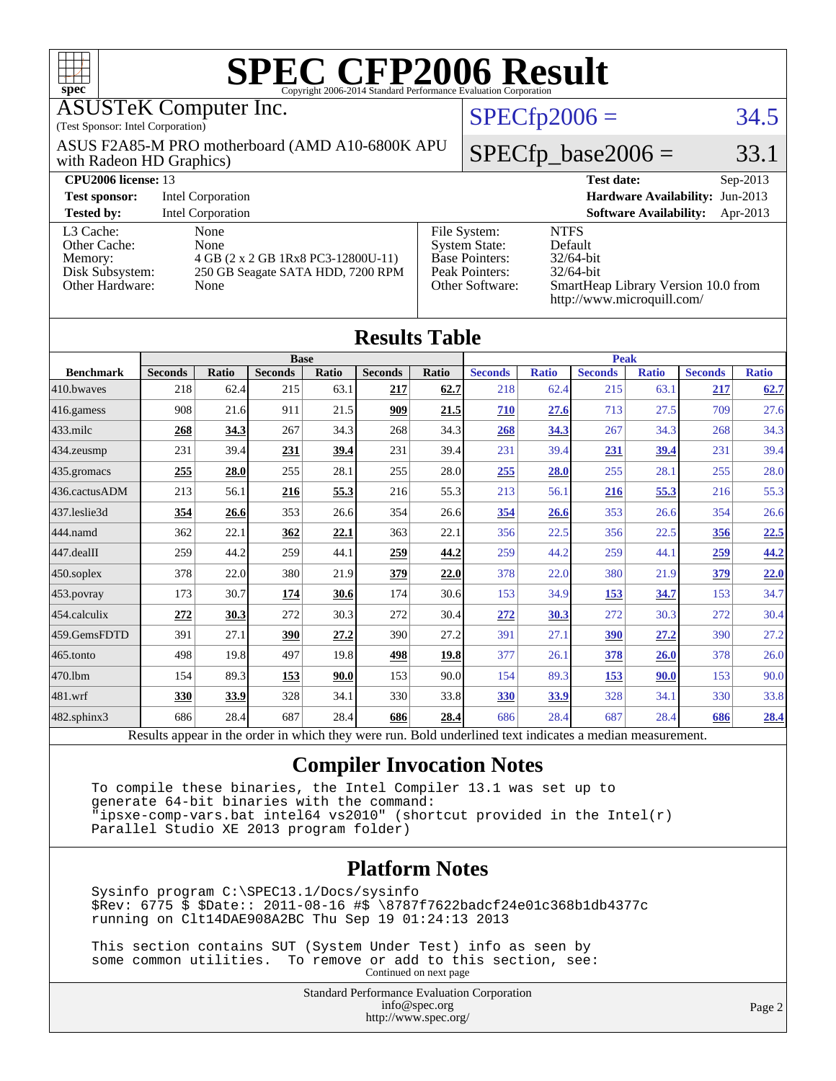| $spec^{\circ}$                                                                                                                                                                |                |                   |                               |       | <b>SPEC CFP2006 Result</b><br>Copyright 2006-2014 Standard Performance Evaluation Corporation |       |                                                                                                                                                                                                                             |                |                      |                               |                                 |              |
|-------------------------------------------------------------------------------------------------------------------------------------------------------------------------------|----------------|-------------------|-------------------------------|-------|-----------------------------------------------------------------------------------------------|-------|-----------------------------------------------------------------------------------------------------------------------------------------------------------------------------------------------------------------------------|----------------|----------------------|-------------------------------|---------------------------------|--------------|
| <b>ASUSTeK Computer Inc.</b><br>(Test Sponsor: Intel Corporation)                                                                                                             |                |                   |                               |       |                                                                                               |       |                                                                                                                                                                                                                             | $SPECfp2006 =$ |                      |                               |                                 | 34.5         |
| ASUS F2A85-M PRO motherboard (AMD A10-6800K APU<br>with Radeon HD Graphics)                                                                                                   |                |                   |                               |       |                                                                                               |       |                                                                                                                                                                                                                             |                | $SPECfp\_base2006 =$ |                               |                                 | 33.1         |
| CPU2006 license: 13                                                                                                                                                           |                |                   |                               |       |                                                                                               |       |                                                                                                                                                                                                                             |                | <b>Test date:</b>    |                               |                                 | Sep-2013     |
| <b>Test sponsor:</b><br><b>Intel Corporation</b>                                                                                                                              |                |                   |                               |       |                                                                                               |       |                                                                                                                                                                                                                             |                |                      |                               | Hardware Availability: Jun-2013 |              |
| <b>Tested by:</b>                                                                                                                                                             |                | Intel Corporation |                               |       |                                                                                               |       |                                                                                                                                                                                                                             |                |                      | <b>Software Availability:</b> |                                 | Apr-2013     |
| L3 Cache:<br>None<br>Other Cache:<br>None<br>Memory:<br>4 GB (2 x 2 GB 1Rx8 PC3-12800U-11)<br>Disk Subsystem:<br>250 GB Seagate SATA HDD, 7200 RPM<br>Other Hardware:<br>None |                |                   |                               |       |                                                                                               |       | File System:<br><b>NTFS</b><br><b>System State:</b><br>Default<br><b>Base Pointers:</b><br>32/64-bit<br>Peak Pointers:<br>32/64-bit<br>Other Software:<br>SmartHeap Library Version 10.0 from<br>http://www.microquill.com/ |                |                      |                               |                                 |              |
|                                                                                                                                                                               |                |                   |                               |       | <b>Results Table</b>                                                                          |       |                                                                                                                                                                                                                             |                | <b>Peak</b>          |                               |                                 |              |
| <b>Benchmark</b>                                                                                                                                                              | <b>Seconds</b> | Ratio             | <b>Base</b><br><b>Seconds</b> | Ratio | <b>Seconds</b>                                                                                | Ratio | <b>Seconds</b>                                                                                                                                                                                                              | <b>Ratio</b>   | <b>Seconds</b>       | <b>Ratio</b>                  | <b>Seconds</b>                  | <b>Ratio</b> |
| 410.bwayes                                                                                                                                                                    | 218            | 62.4              | 215                           | 63.1  | 217                                                                                           | 62.7  | 218                                                                                                                                                                                                                         | 62.4           | 215                  | 63.1                          | 217                             | 62.7         |
| 416.gamess                                                                                                                                                                    | 908            | 21.6              | 911                           | 21.5  | 909                                                                                           | 21.5  | 710                                                                                                                                                                                                                         | 27.6           | 713                  | 27.5                          | 709                             | 27.6         |
| 433.milc                                                                                                                                                                      | 268            | 34.3              | 267                           | 34.3  | 268                                                                                           | 34.3  | 268                                                                                                                                                                                                                         | 34.3           | 267                  | 34.3                          | 268                             | 34.3         |
| 434.zeusmp                                                                                                                                                                    | 231            | 39.4              | 231                           | 39.4  | 231                                                                                           | 39.4  | 231                                                                                                                                                                                                                         | 39.4           | 231                  | 39.4                          | 231                             | 39.4         |
| 435.gromacs                                                                                                                                                                   | 255            | 28.0              | 255                           | 28.1  | 255                                                                                           | 28.0  | 255                                                                                                                                                                                                                         | 28.0           | 255                  | 28.1                          | 255                             | 28.0         |
| 436.cactusADM                                                                                                                                                                 | 213            | 56.1              | 216                           | 55.3  | 216                                                                                           | 55.3  | 213                                                                                                                                                                                                                         | 56.1           | 216                  | 55.3                          | 216                             | 55.3         |
| 437.leslie3d                                                                                                                                                                  | 354            | 26.6              | 353                           | 26.6  | 354                                                                                           | 26.6  | 354                                                                                                                                                                                                                         | 26.6           | 353                  | 26.6                          | 354                             | 26.6         |
| 444.namd                                                                                                                                                                      | 362            | 22.1              | 362                           | 22.1  | 363                                                                                           | 22.1  | 356                                                                                                                                                                                                                         | 22.5           | 356                  | 22.5                          | 356                             | 22.5         |
| 447.dealII                                                                                                                                                                    | 259            | 44.2              | 259                           | 44.1  | 259                                                                                           | 44.2  | 259                                                                                                                                                                                                                         | 44.2           | 259                  | 44.1                          | 259                             | 44.2         |
| 450.soplex                                                                                                                                                                    | 378            | 22.0              | 380                           | 21.9  | 379                                                                                           | 22.0  | 378                                                                                                                                                                                                                         | 22.0           | 380                  | 21.9                          | 379                             | 22.0         |
| $453$ .povray                                                                                                                                                                 | 173            | 30.7              | 174                           | 30.6  | 174                                                                                           | 30.6  | 153                                                                                                                                                                                                                         | 34.9           | 153                  | 34.7                          | 153                             | 34.7         |
| 454.calculix                                                                                                                                                                  | 272            | 30.3              | 272                           | 30.3  | 272                                                                                           | 30.4  | 272                                                                                                                                                                                                                         | 30.3           | 272                  | 30.3                          | 272                             | 30.4         |
| 459.GemsFDTD                                                                                                                                                                  | 391            | 27.1              | 390                           | 27.2  | 390                                                                                           | 27.2  | 391                                                                                                                                                                                                                         | 27.1           | 390                  | 27.2                          | 390                             | 27.2         |

[482.sphinx3](http://www.spec.org/auto/cpu2006/Docs/482.sphinx3.html) 686 28.4 687 28.4 **[686](http://www.spec.org/auto/cpu2006/Docs/result-fields.html#Median) [28.4](http://www.spec.org/auto/cpu2006/Docs/result-fields.html#Median)** 686 28.4 687 28.4 **[686](http://www.spec.org/auto/cpu2006/Docs/result-fields.html#Median) [28.4](http://www.spec.org/auto/cpu2006/Docs/result-fields.html#Median)** Results appear in the [order in which they were run.](http://www.spec.org/auto/cpu2006/Docs/result-fields.html#RunOrder) Bold underlined text [indicates a median measurement.](http://www.spec.org/auto/cpu2006/Docs/result-fields.html#Median)

[465.tonto](http://www.spec.org/auto/cpu2006/Docs/465.tonto.html) 498 19.8 497 19.8 **[498](http://www.spec.org/auto/cpu2006/Docs/result-fields.html#Median) [19.8](http://www.spec.org/auto/cpu2006/Docs/result-fields.html#Median)** 377 26.1 **[378](http://www.spec.org/auto/cpu2006/Docs/result-fields.html#Median) [26.0](http://www.spec.org/auto/cpu2006/Docs/result-fields.html#Median)** 378 26.0 [470.lbm](http://www.spec.org/auto/cpu2006/Docs/470.lbm.html) 154 89.3 **[153](http://www.spec.org/auto/cpu2006/Docs/result-fields.html#Median) [90.0](http://www.spec.org/auto/cpu2006/Docs/result-fields.html#Median)** 153 90.0 154 89.3 **[153](http://www.spec.org/auto/cpu2006/Docs/result-fields.html#Median) [90.0](http://www.spec.org/auto/cpu2006/Docs/result-fields.html#Median)** 153 90.0 [481.wrf](http://www.spec.org/auto/cpu2006/Docs/481.wrf.html) **[330](http://www.spec.org/auto/cpu2006/Docs/result-fields.html#Median) [33.9](http://www.spec.org/auto/cpu2006/Docs/result-fields.html#Median)** 328 34.1 330 33.8 **[330](http://www.spec.org/auto/cpu2006/Docs/result-fields.html#Median) [33.9](http://www.spec.org/auto/cpu2006/Docs/result-fields.html#Median)** 328 34.1 330 33.8

#### **[Compiler Invocation Notes](http://www.spec.org/auto/cpu2006/Docs/result-fields.html#CompilerInvocationNotes)**

 To compile these binaries, the Intel Compiler 13.1 was set up to generate 64-bit binaries with the command: "ipsxe-comp-vars.bat intel64 vs2010" (shortcut provided in the Intel(r) Parallel Studio XE 2013 program folder)

#### **[Platform Notes](http://www.spec.org/auto/cpu2006/Docs/result-fields.html#PlatformNotes)**

 Sysinfo program C:\SPEC13.1/Docs/sysinfo \$Rev: 6775 \$ \$Date:: 2011-08-16 #\$ \8787f7622badcf24e01c368b1db4377c running on Clt14DAE908A2BC Thu Sep 19 01:24:13 2013

 This section contains SUT (System Under Test) info as seen by some common utilities. To remove or add to this section, see: Continued on next page

> Standard Performance Evaluation Corporation [info@spec.org](mailto:info@spec.org) <http://www.spec.org/>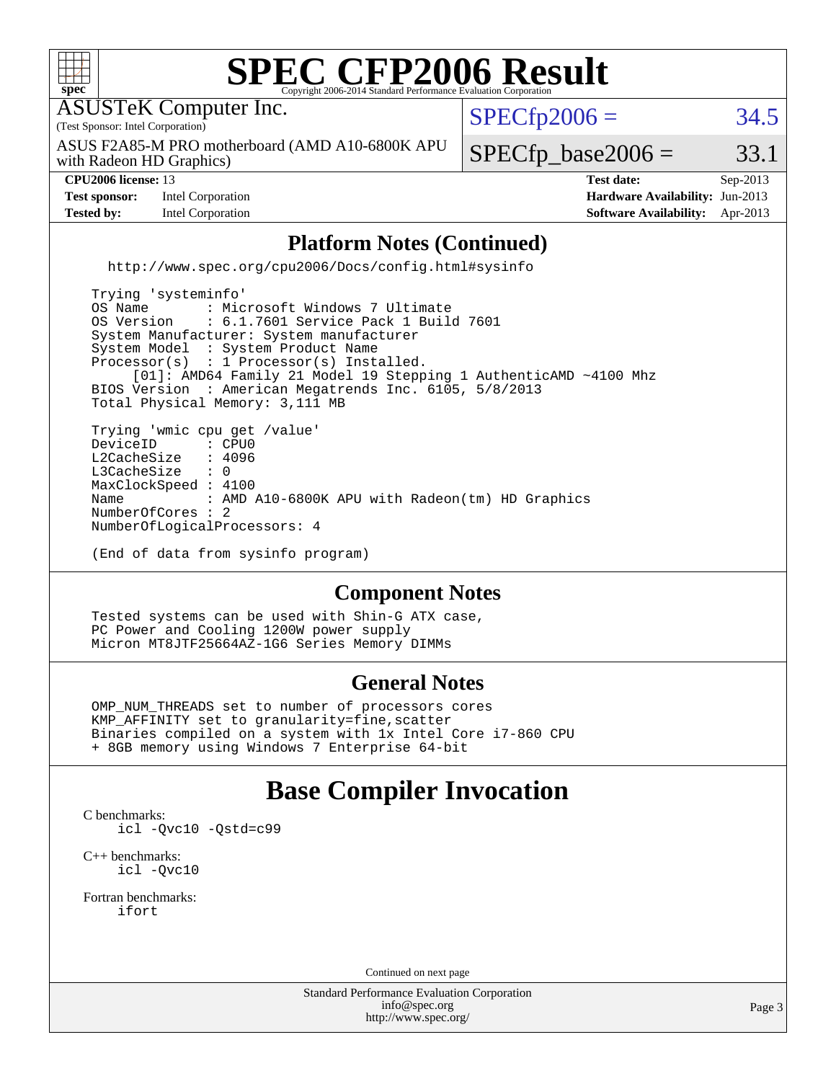

#### **[General Notes](http://www.spec.org/auto/cpu2006/Docs/result-fields.html#GeneralNotes)**

 OMP\_NUM\_THREADS set to number of processors cores KMP\_AFFINITY set to granularity=fine,scatter Binaries compiled on a system with 1x Intel Core i7-860 CPU + 8GB memory using Windows 7 Enterprise 64-bit

#### **[Base Compiler Invocation](http://www.spec.org/auto/cpu2006/Docs/result-fields.html#BaseCompilerInvocation)**

[C benchmarks](http://www.spec.org/auto/cpu2006/Docs/result-fields.html#Cbenchmarks): [icl -Qvc10](http://www.spec.org/cpu2006/results/res2014q3/cpu2006-20140630-30098.flags.html#user_CCbase_intel_icc_vc10_9607f3ecbcdf68042245f068e51b40c1) [-Qstd=c99](http://www.spec.org/cpu2006/results/res2014q3/cpu2006-20140630-30098.flags.html#user_CCbase_intel_compiler_c99_mode_1a3d110e3041b3ad4466830521bdad2a)

[C++ benchmarks:](http://www.spec.org/auto/cpu2006/Docs/result-fields.html#CXXbenchmarks) [icl -Qvc10](http://www.spec.org/cpu2006/results/res2014q3/cpu2006-20140630-30098.flags.html#user_CXXbase_intel_icc_vc10_9607f3ecbcdf68042245f068e51b40c1)

[Fortran benchmarks](http://www.spec.org/auto/cpu2006/Docs/result-fields.html#Fortranbenchmarks): [ifort](http://www.spec.org/cpu2006/results/res2014q3/cpu2006-20140630-30098.flags.html#user_FCbase_intel_ifort_8a5e5e06b19a251bdeaf8fdab5d62f20)

Continued on next page

Standard Performance Evaluation Corporation [info@spec.org](mailto:info@spec.org) <http://www.spec.org/>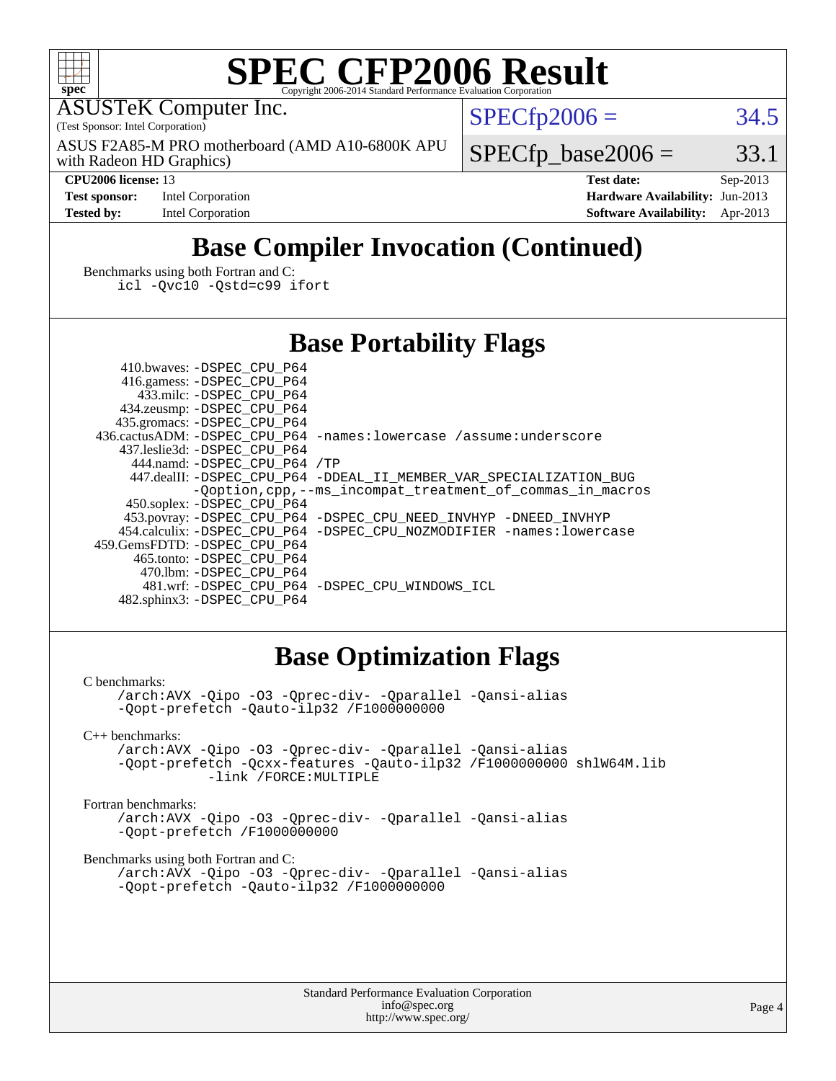

# **[SPEC CFP2006 Result](http://www.spec.org/auto/cpu2006/Docs/result-fields.html#SPECCFP2006Result)**

ASUSTeK Computer Inc.

(Test Sponsor: Intel Corporation)

with Radeon HD Graphics) ASUS F2A85-M PRO motherboard (AMD A10-6800K APU  $SPECTp2006 = 34.5$ 

 $SPECTp\_base2006 = 33.1$ 

**[Test sponsor:](http://www.spec.org/auto/cpu2006/Docs/result-fields.html#Testsponsor)** Intel Corporation **[Hardware Availability:](http://www.spec.org/auto/cpu2006/Docs/result-fields.html#HardwareAvailability)** Jun-2013

**[CPU2006 license:](http://www.spec.org/auto/cpu2006/Docs/result-fields.html#CPU2006license)** 13 **[Test date:](http://www.spec.org/auto/cpu2006/Docs/result-fields.html#Testdate)** Sep-2013 **[Tested by:](http://www.spec.org/auto/cpu2006/Docs/result-fields.html#Testedby)** Intel Corporation **[Software Availability:](http://www.spec.org/auto/cpu2006/Docs/result-fields.html#SoftwareAvailability)** Apr-2013

## **[Base Compiler Invocation \(Continued\)](http://www.spec.org/auto/cpu2006/Docs/result-fields.html#BaseCompilerInvocation)**

[Benchmarks using both Fortran and C](http://www.spec.org/auto/cpu2006/Docs/result-fields.html#BenchmarksusingbothFortranandC): [icl -Qvc10](http://www.spec.org/cpu2006/results/res2014q3/cpu2006-20140630-30098.flags.html#user_CC_FCbase_intel_icc_vc10_9607f3ecbcdf68042245f068e51b40c1) [-Qstd=c99](http://www.spec.org/cpu2006/results/res2014q3/cpu2006-20140630-30098.flags.html#user_CC_FCbase_intel_compiler_c99_mode_1a3d110e3041b3ad4466830521bdad2a) [ifort](http://www.spec.org/cpu2006/results/res2014q3/cpu2006-20140630-30098.flags.html#user_CC_FCbase_intel_ifort_8a5e5e06b19a251bdeaf8fdab5d62f20)

#### **[Base Portability Flags](http://www.spec.org/auto/cpu2006/Docs/result-fields.html#BasePortabilityFlags)**

 410.bwaves: [-DSPEC\\_CPU\\_P64](http://www.spec.org/cpu2006/results/res2014q3/cpu2006-20140630-30098.flags.html#suite_basePORTABILITY410_bwaves_DSPEC_CPU_P64) 416.gamess: [-DSPEC\\_CPU\\_P64](http://www.spec.org/cpu2006/results/res2014q3/cpu2006-20140630-30098.flags.html#suite_basePORTABILITY416_gamess_DSPEC_CPU_P64) 433.milc: [-DSPEC\\_CPU\\_P64](http://www.spec.org/cpu2006/results/res2014q3/cpu2006-20140630-30098.flags.html#suite_basePORTABILITY433_milc_DSPEC_CPU_P64) 434.zeusmp: [-DSPEC\\_CPU\\_P64](http://www.spec.org/cpu2006/results/res2014q3/cpu2006-20140630-30098.flags.html#suite_basePORTABILITY434_zeusmp_DSPEC_CPU_P64) 435.gromacs: [-DSPEC\\_CPU\\_P64](http://www.spec.org/cpu2006/results/res2014q3/cpu2006-20140630-30098.flags.html#suite_basePORTABILITY435_gromacs_DSPEC_CPU_P64) 436.cactusADM: [-DSPEC\\_CPU\\_P64](http://www.spec.org/cpu2006/results/res2014q3/cpu2006-20140630-30098.flags.html#suite_basePORTABILITY436_cactusADM_DSPEC_CPU_P64) [-names:lowercase](http://www.spec.org/cpu2006/results/res2014q3/cpu2006-20140630-30098.flags.html#user_baseFPORTABILITY436_cactusADM_lowercase_routine_name_fa09b8c93d90fdc7bf4c1a91694c3a84) [/assume:underscore](http://www.spec.org/cpu2006/results/res2014q3/cpu2006-20140630-30098.flags.html#user_baseFPORTABILITY436_cactusADM_add-underscore_to_routine_name_0c7c658d9e5eb8b86e282975775768a4) 437.leslie3d: [-DSPEC\\_CPU\\_P64](http://www.spec.org/cpu2006/results/res2014q3/cpu2006-20140630-30098.flags.html#suite_basePORTABILITY437_leslie3d_DSPEC_CPU_P64) 444.namd: [-DSPEC\\_CPU\\_P64](http://www.spec.org/cpu2006/results/res2014q3/cpu2006-20140630-30098.flags.html#suite_basePORTABILITY444_namd_DSPEC_CPU_P64) [/TP](http://www.spec.org/cpu2006/results/res2014q3/cpu2006-20140630-30098.flags.html#user_baseCXXPORTABILITY444_namd_assume_cplusplus_sources_73f79b6e94f79d415caf1b69b30a60d8) 447.dealII: [-DSPEC\\_CPU\\_P64](http://www.spec.org/cpu2006/results/res2014q3/cpu2006-20140630-30098.flags.html#suite_basePORTABILITY447_dealII_DSPEC_CPU_P64) [-DDEAL\\_II\\_MEMBER\\_VAR\\_SPECIALIZATION\\_BUG](http://www.spec.org/cpu2006/results/res2014q3/cpu2006-20140630-30098.flags.html#b447.dealII_baseCXXPORTABILITY_DDEAL_II_MEMBER_VAR_SPECIALIZATION_BUG) [-Qoption,cpp,--ms\\_incompat\\_treatment\\_of\\_commas\\_in\\_macros](http://www.spec.org/cpu2006/results/res2014q3/cpu2006-20140630-30098.flags.html#user_baseCXXPORTABILITY447_dealII_workaround_for_incompat_commas_in_macros_371e7208d1728f07541b35505d65f89c) 450.soplex: [-DSPEC\\_CPU\\_P64](http://www.spec.org/cpu2006/results/res2014q3/cpu2006-20140630-30098.flags.html#suite_basePORTABILITY450_soplex_DSPEC_CPU_P64) 453.povray: [-DSPEC\\_CPU\\_P64](http://www.spec.org/cpu2006/results/res2014q3/cpu2006-20140630-30098.flags.html#suite_basePORTABILITY453_povray_DSPEC_CPU_P64) [-DSPEC\\_CPU\\_NEED\\_INVHYP](http://www.spec.org/cpu2006/results/res2014q3/cpu2006-20140630-30098.flags.html#b453.povray_baseCXXPORTABILITY_DSPEC_CPU_NEED_INVHYP) [-DNEED\\_INVHYP](http://www.spec.org/cpu2006/results/res2014q3/cpu2006-20140630-30098.flags.html#b453.povray_baseCXXPORTABILITY_DNEED_INVHYP) 454.calculix: [-DSPEC\\_CPU\\_P64](http://www.spec.org/cpu2006/results/res2014q3/cpu2006-20140630-30098.flags.html#suite_basePORTABILITY454_calculix_DSPEC_CPU_P64) [-DSPEC\\_CPU\\_NOZMODIFIER](http://www.spec.org/cpu2006/results/res2014q3/cpu2006-20140630-30098.flags.html#b454.calculix_baseCPORTABILITY_DSPEC_CPU_NOZMODIFIER) [-names:lowercase](http://www.spec.org/cpu2006/results/res2014q3/cpu2006-20140630-30098.flags.html#user_baseFPORTABILITY454_calculix_lowercase_routine_name_fa09b8c93d90fdc7bf4c1a91694c3a84) 459.GemsFDTD: [-DSPEC\\_CPU\\_P64](http://www.spec.org/cpu2006/results/res2014q3/cpu2006-20140630-30098.flags.html#suite_basePORTABILITY459_GemsFDTD_DSPEC_CPU_P64) 465.tonto: [-DSPEC\\_CPU\\_P64](http://www.spec.org/cpu2006/results/res2014q3/cpu2006-20140630-30098.flags.html#suite_basePORTABILITY465_tonto_DSPEC_CPU_P64) 470.lbm: [-DSPEC\\_CPU\\_P64](http://www.spec.org/cpu2006/results/res2014q3/cpu2006-20140630-30098.flags.html#suite_basePORTABILITY470_lbm_DSPEC_CPU_P64) 481.wrf: [-DSPEC\\_CPU\\_P64](http://www.spec.org/cpu2006/results/res2014q3/cpu2006-20140630-30098.flags.html#suite_basePORTABILITY481_wrf_DSPEC_CPU_P64) [-DSPEC\\_CPU\\_WINDOWS\\_ICL](http://www.spec.org/cpu2006/results/res2014q3/cpu2006-20140630-30098.flags.html#b481.wrf_baseCPORTABILITY_DSPEC_CPU_WINDOWS_ICL) 482.sphinx3: [-DSPEC\\_CPU\\_P64](http://www.spec.org/cpu2006/results/res2014q3/cpu2006-20140630-30098.flags.html#suite_basePORTABILITY482_sphinx3_DSPEC_CPU_P64)

#### **[Base Optimization Flags](http://www.spec.org/auto/cpu2006/Docs/result-fields.html#BaseOptimizationFlags)**

[C benchmarks](http://www.spec.org/auto/cpu2006/Docs/result-fields.html#Cbenchmarks):

[/arch:AVX](http://www.spec.org/cpu2006/results/res2014q3/cpu2006-20140630-30098.flags.html#user_CCbase_f-archAVX_e8ab52e15dc7c67e0682fc680b79ed94) [-Qipo](http://www.spec.org/cpu2006/results/res2014q3/cpu2006-20140630-30098.flags.html#user_CCbase_f-Qipo) [-O3](http://www.spec.org/cpu2006/results/res2014q3/cpu2006-20140630-30098.flags.html#user_CCbase_f-O3) [-Qprec-div-](http://www.spec.org/cpu2006/results/res2014q3/cpu2006-20140630-30098.flags.html#user_CCbase_f-Qprec-div-) [-Qparallel](http://www.spec.org/cpu2006/results/res2014q3/cpu2006-20140630-30098.flags.html#user_CCbase_f-Qparallel) [-Qansi-alias](http://www.spec.org/cpu2006/results/res2014q3/cpu2006-20140630-30098.flags.html#user_CCbase_f-Qansi-alias) [-Qopt-prefetch](http://www.spec.org/cpu2006/results/res2014q3/cpu2006-20140630-30098.flags.html#user_CCbase_f-Qprefetch_37c211608666b9dff9380561f602f0a8) [-Qauto-ilp32](http://www.spec.org/cpu2006/results/res2014q3/cpu2006-20140630-30098.flags.html#user_CCbase_f-Qauto-ilp32) [/F1000000000](http://www.spec.org/cpu2006/results/res2014q3/cpu2006-20140630-30098.flags.html#user_CCbase_set_stack_space_25d7749c1988d91b7f93afbc0ec53727)

[C++ benchmarks:](http://www.spec.org/auto/cpu2006/Docs/result-fields.html#CXXbenchmarks)

[/arch:AVX](http://www.spec.org/cpu2006/results/res2014q3/cpu2006-20140630-30098.flags.html#user_CXXbase_f-archAVX_e8ab52e15dc7c67e0682fc680b79ed94) [-Qipo](http://www.spec.org/cpu2006/results/res2014q3/cpu2006-20140630-30098.flags.html#user_CXXbase_f-Qipo) [-O3](http://www.spec.org/cpu2006/results/res2014q3/cpu2006-20140630-30098.flags.html#user_CXXbase_f-O3) [-Qprec-div-](http://www.spec.org/cpu2006/results/res2014q3/cpu2006-20140630-30098.flags.html#user_CXXbase_f-Qprec-div-) [-Qparallel](http://www.spec.org/cpu2006/results/res2014q3/cpu2006-20140630-30098.flags.html#user_CXXbase_f-Qparallel) [-Qansi-alias](http://www.spec.org/cpu2006/results/res2014q3/cpu2006-20140630-30098.flags.html#user_CXXbase_f-Qansi-alias) [-Qopt-prefetch](http://www.spec.org/cpu2006/results/res2014q3/cpu2006-20140630-30098.flags.html#user_CXXbase_f-Qprefetch_37c211608666b9dff9380561f602f0a8) [-Qcxx-features](http://www.spec.org/cpu2006/results/res2014q3/cpu2006-20140630-30098.flags.html#user_CXXbase_f-Qcxx_features_dbf36c8a6dba956e22f1645e4dcd4d98) [-Qauto-ilp32](http://www.spec.org/cpu2006/results/res2014q3/cpu2006-20140630-30098.flags.html#user_CXXbase_f-Qauto-ilp32) [/F1000000000](http://www.spec.org/cpu2006/results/res2014q3/cpu2006-20140630-30098.flags.html#user_CXXbase_set_stack_space_25d7749c1988d91b7f93afbc0ec53727) [shlW64M.lib](http://www.spec.org/cpu2006/results/res2014q3/cpu2006-20140630-30098.flags.html#user_CXXbase_SmartHeap64_c4f7f76711bdf8c0633a5c1edf6e5396)  [-link /FORCE:MULTIPLE](http://www.spec.org/cpu2006/results/res2014q3/cpu2006-20140630-30098.flags.html#user_CXXbase_link_force_multiple2_070fe330869edf77077b841074b8b0b6)

[Fortran benchmarks](http://www.spec.org/auto/cpu2006/Docs/result-fields.html#Fortranbenchmarks):

[/arch:AVX](http://www.spec.org/cpu2006/results/res2014q3/cpu2006-20140630-30098.flags.html#user_FCbase_f-archAVX_e8ab52e15dc7c67e0682fc680b79ed94) [-Qipo](http://www.spec.org/cpu2006/results/res2014q3/cpu2006-20140630-30098.flags.html#user_FCbase_f-Qipo) [-O3](http://www.spec.org/cpu2006/results/res2014q3/cpu2006-20140630-30098.flags.html#user_FCbase_f-O3) [-Qprec-div-](http://www.spec.org/cpu2006/results/res2014q3/cpu2006-20140630-30098.flags.html#user_FCbase_f-Qprec-div-) [-Qparallel](http://www.spec.org/cpu2006/results/res2014q3/cpu2006-20140630-30098.flags.html#user_FCbase_f-Qparallel) [-Qansi-alias](http://www.spec.org/cpu2006/results/res2014q3/cpu2006-20140630-30098.flags.html#user_FCbase_f-Qansi-alias) [-Qopt-prefetch](http://www.spec.org/cpu2006/results/res2014q3/cpu2006-20140630-30098.flags.html#user_FCbase_f-Qprefetch_37c211608666b9dff9380561f602f0a8) [/F1000000000](http://www.spec.org/cpu2006/results/res2014q3/cpu2006-20140630-30098.flags.html#user_FCbase_set_stack_space_25d7749c1988d91b7f93afbc0ec53727)

[Benchmarks using both Fortran and C](http://www.spec.org/auto/cpu2006/Docs/result-fields.html#BenchmarksusingbothFortranandC):

[/arch:AVX](http://www.spec.org/cpu2006/results/res2014q3/cpu2006-20140630-30098.flags.html#user_CC_FCbase_f-archAVX_e8ab52e15dc7c67e0682fc680b79ed94) [-Qipo](http://www.spec.org/cpu2006/results/res2014q3/cpu2006-20140630-30098.flags.html#user_CC_FCbase_f-Qipo) [-O3](http://www.spec.org/cpu2006/results/res2014q3/cpu2006-20140630-30098.flags.html#user_CC_FCbase_f-O3) [-Qprec-div-](http://www.spec.org/cpu2006/results/res2014q3/cpu2006-20140630-30098.flags.html#user_CC_FCbase_f-Qprec-div-) [-Qparallel](http://www.spec.org/cpu2006/results/res2014q3/cpu2006-20140630-30098.flags.html#user_CC_FCbase_f-Qparallel) [-Qansi-alias](http://www.spec.org/cpu2006/results/res2014q3/cpu2006-20140630-30098.flags.html#user_CC_FCbase_f-Qansi-alias) [-Qopt-prefetch](http://www.spec.org/cpu2006/results/res2014q3/cpu2006-20140630-30098.flags.html#user_CC_FCbase_f-Qprefetch_37c211608666b9dff9380561f602f0a8) [-Qauto-ilp32](http://www.spec.org/cpu2006/results/res2014q3/cpu2006-20140630-30098.flags.html#user_CC_FCbase_f-Qauto-ilp32) [/F1000000000](http://www.spec.org/cpu2006/results/res2014q3/cpu2006-20140630-30098.flags.html#user_CC_FCbase_set_stack_space_25d7749c1988d91b7f93afbc0ec53727)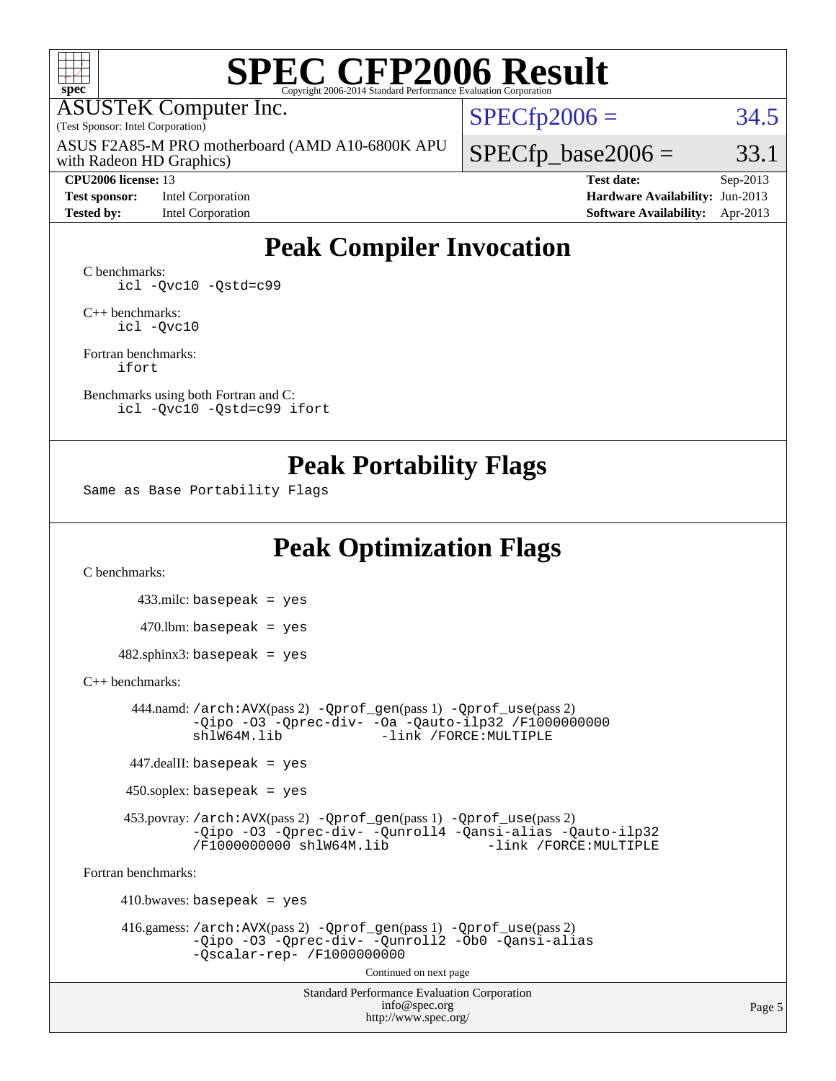

# **[SPEC CFP2006 Result](http://www.spec.org/auto/cpu2006/Docs/result-fields.html#SPECCFP2006Result)**

ASUSTeK Computer Inc.

(Test Sponsor: Intel Corporation)

with Radeon HD Graphics) ASUS F2A85-M PRO motherboard (AMD A10-6800K APU

#### **[CPU2006 license:](http://www.spec.org/auto/cpu2006/Docs/result-fields.html#CPU2006license)** 13 **[Test date:](http://www.spec.org/auto/cpu2006/Docs/result-fields.html#Testdate)** Sep-2013

**[Test sponsor:](http://www.spec.org/auto/cpu2006/Docs/result-fields.html#Testsponsor)** Intel Corporation **[Hardware Availability:](http://www.spec.org/auto/cpu2006/Docs/result-fields.html#HardwareAvailability)** Jun-2013

 $SPECfp2006 = 34.5$  $SPECfp2006 = 34.5$ 

 $SPECTp\_base2006 = 33.1$ 

**[Tested by:](http://www.spec.org/auto/cpu2006/Docs/result-fields.html#Testedby)** Intel Corporation **[Software Availability:](http://www.spec.org/auto/cpu2006/Docs/result-fields.html#SoftwareAvailability)** Apr-2013

## **[Peak Compiler Invocation](http://www.spec.org/auto/cpu2006/Docs/result-fields.html#PeakCompilerInvocation)**

[C benchmarks](http://www.spec.org/auto/cpu2006/Docs/result-fields.html#Cbenchmarks): [icl -Qvc10](http://www.spec.org/cpu2006/results/res2014q3/cpu2006-20140630-30098.flags.html#user_CCpeak_intel_icc_vc10_9607f3ecbcdf68042245f068e51b40c1) [-Qstd=c99](http://www.spec.org/cpu2006/results/res2014q3/cpu2006-20140630-30098.flags.html#user_CCpeak_intel_compiler_c99_mode_1a3d110e3041b3ad4466830521bdad2a)

[C++ benchmarks:](http://www.spec.org/auto/cpu2006/Docs/result-fields.html#CXXbenchmarks) [icl -Qvc10](http://www.spec.org/cpu2006/results/res2014q3/cpu2006-20140630-30098.flags.html#user_CXXpeak_intel_icc_vc10_9607f3ecbcdf68042245f068e51b40c1)

[Fortran benchmarks](http://www.spec.org/auto/cpu2006/Docs/result-fields.html#Fortranbenchmarks): [ifort](http://www.spec.org/cpu2006/results/res2014q3/cpu2006-20140630-30098.flags.html#user_FCpeak_intel_ifort_8a5e5e06b19a251bdeaf8fdab5d62f20)

[Benchmarks using both Fortran and C](http://www.spec.org/auto/cpu2006/Docs/result-fields.html#BenchmarksusingbothFortranandC): [icl -Qvc10](http://www.spec.org/cpu2006/results/res2014q3/cpu2006-20140630-30098.flags.html#user_CC_FCpeak_intel_icc_vc10_9607f3ecbcdf68042245f068e51b40c1) [-Qstd=c99](http://www.spec.org/cpu2006/results/res2014q3/cpu2006-20140630-30098.flags.html#user_CC_FCpeak_intel_compiler_c99_mode_1a3d110e3041b3ad4466830521bdad2a) [ifort](http://www.spec.org/cpu2006/results/res2014q3/cpu2006-20140630-30098.flags.html#user_CC_FCpeak_intel_ifort_8a5e5e06b19a251bdeaf8fdab5d62f20)

#### **[Peak Portability Flags](http://www.spec.org/auto/cpu2006/Docs/result-fields.html#PeakPortabilityFlags)**

Same as Base Portability Flags

## **[Peak Optimization Flags](http://www.spec.org/auto/cpu2006/Docs/result-fields.html#PeakOptimizationFlags)**

[C benchmarks](http://www.spec.org/auto/cpu2006/Docs/result-fields.html#Cbenchmarks):

 433.milc: basepeak = yes  $470$ .lbm: basepeak = yes  $482$ .sphinx3: basepeak = yes

#### [C++ benchmarks:](http://www.spec.org/auto/cpu2006/Docs/result-fields.html#CXXbenchmarks)

 444.namd: [/arch:AVX](http://www.spec.org/cpu2006/results/res2014q3/cpu2006-20140630-30098.flags.html#user_peakPASS2_CXXFLAGSPASS2_LDFLAGS444_namd_f-archAVX_e8ab52e15dc7c67e0682fc680b79ed94)(pass 2) [-Qprof\\_gen](http://www.spec.org/cpu2006/results/res2014q3/cpu2006-20140630-30098.flags.html#user_peakPASS1_CXXFLAGSPASS1_LDFLAGS444_namd_Qprof_gen)(pass 1) [-Qprof\\_use](http://www.spec.org/cpu2006/results/res2014q3/cpu2006-20140630-30098.flags.html#user_peakPASS2_CXXFLAGSPASS2_LDFLAGS444_namd_Qprof_use)(pass 2) [-Qipo](http://www.spec.org/cpu2006/results/res2014q3/cpu2006-20140630-30098.flags.html#user_peakOPTIMIZE444_namd_f-Qipo) [-O3](http://www.spec.org/cpu2006/results/res2014q3/cpu2006-20140630-30098.flags.html#user_peakOPTIMIZE444_namd_f-O3) [-Qprec-div-](http://www.spec.org/cpu2006/results/res2014q3/cpu2006-20140630-30098.flags.html#user_peakOPTIMIZE444_namd_f-Qprec-div-) [-Oa](http://www.spec.org/cpu2006/results/res2014q3/cpu2006-20140630-30098.flags.html#user_peakOPTIMIZE444_namd_f-Oa) [-Qauto-ilp32](http://www.spec.org/cpu2006/results/res2014q3/cpu2006-20140630-30098.flags.html#user_peakCXXOPTIMIZE444_namd_f-Qauto-ilp32) [/F1000000000](http://www.spec.org/cpu2006/results/res2014q3/cpu2006-20140630-30098.flags.html#user_peakEXTRA_LDFLAGS444_namd_set_stack_space_25d7749c1988d91b7f93afbc0ec53727) -link /FORCE: MULTIPLE

447.dealII: basepeak = yes

 $450$ .soplex: basepeak = yes

 453.povray: [/arch:AVX](http://www.spec.org/cpu2006/results/res2014q3/cpu2006-20140630-30098.flags.html#user_peakPASS2_CXXFLAGSPASS2_LDFLAGS453_povray_f-archAVX_e8ab52e15dc7c67e0682fc680b79ed94)(pass 2) [-Qprof\\_gen](http://www.spec.org/cpu2006/results/res2014q3/cpu2006-20140630-30098.flags.html#user_peakPASS1_CXXFLAGSPASS1_LDFLAGS453_povray_Qprof_gen)(pass 1) [-Qprof\\_use](http://www.spec.org/cpu2006/results/res2014q3/cpu2006-20140630-30098.flags.html#user_peakPASS2_CXXFLAGSPASS2_LDFLAGS453_povray_Qprof_use)(pass 2) [-Qipo](http://www.spec.org/cpu2006/results/res2014q3/cpu2006-20140630-30098.flags.html#user_peakOPTIMIZE453_povray_f-Qipo) [-O3](http://www.spec.org/cpu2006/results/res2014q3/cpu2006-20140630-30098.flags.html#user_peakOPTIMIZE453_povray_f-O3) [-Qprec-div-](http://www.spec.org/cpu2006/results/res2014q3/cpu2006-20140630-30098.flags.html#user_peakOPTIMIZE453_povray_f-Qprec-div-) [-Qunroll4](http://www.spec.org/cpu2006/results/res2014q3/cpu2006-20140630-30098.flags.html#user_peakOPTIMIZE453_povray_f-Qunroll_013b1c0ea3aa84ef2c65e488bcc3d968) [-Qansi-alias](http://www.spec.org/cpu2006/results/res2014q3/cpu2006-20140630-30098.flags.html#user_peakOPTIMIZE453_povray_f-Qansi-alias) [-Qauto-ilp32](http://www.spec.org/cpu2006/results/res2014q3/cpu2006-20140630-30098.flags.html#user_peakCXXOPTIMIZE453_povray_f-Qauto-ilp32) [/F1000000000](http://www.spec.org/cpu2006/results/res2014q3/cpu2006-20140630-30098.flags.html#user_peakEXTRA_LDFLAGS453_povray_set_stack_space_25d7749c1988d91b7f93afbc0ec53727) [shlW64M.lib](http://www.spec.org/cpu2006/results/res2014q3/cpu2006-20140630-30098.flags.html#user_peakEXTRA_LIBS453_povray_SmartHeap64_c4f7f76711bdf8c0633a5c1edf6e5396)

[Fortran benchmarks](http://www.spec.org/auto/cpu2006/Docs/result-fields.html#Fortranbenchmarks):

 $410.bwaves: basepeak = yes$  416.gamess: [/arch:AVX](http://www.spec.org/cpu2006/results/res2014q3/cpu2006-20140630-30098.flags.html#user_peakPASS2_FFLAGSPASS2_LDFLAGS416_gamess_f-archAVX_e8ab52e15dc7c67e0682fc680b79ed94)(pass 2) [-Qprof\\_gen](http://www.spec.org/cpu2006/results/res2014q3/cpu2006-20140630-30098.flags.html#user_peakPASS1_FFLAGSPASS1_LDFLAGS416_gamess_Qprof_gen)(pass 1) [-Qprof\\_use](http://www.spec.org/cpu2006/results/res2014q3/cpu2006-20140630-30098.flags.html#user_peakPASS2_FFLAGSPASS2_LDFLAGS416_gamess_Qprof_use)(pass 2) [-Qipo](http://www.spec.org/cpu2006/results/res2014q3/cpu2006-20140630-30098.flags.html#user_peakOPTIMIZE416_gamess_f-Qipo) [-O3](http://www.spec.org/cpu2006/results/res2014q3/cpu2006-20140630-30098.flags.html#user_peakOPTIMIZE416_gamess_f-O3) [-Qprec-div-](http://www.spec.org/cpu2006/results/res2014q3/cpu2006-20140630-30098.flags.html#user_peakOPTIMIZE416_gamess_f-Qprec-div-) [-Qunroll2](http://www.spec.org/cpu2006/results/res2014q3/cpu2006-20140630-30098.flags.html#user_peakOPTIMIZE416_gamess_f-Qunroll_1d9456aa650e77fc2a0cf43cef3fa08c) [-Ob0](http://www.spec.org/cpu2006/results/res2014q3/cpu2006-20140630-30098.flags.html#user_peakOPTIMIZE416_gamess_f-Ob_n_fbe6f6428adb7d4b74b1e99bb2444c2d) [-Qansi-alias](http://www.spec.org/cpu2006/results/res2014q3/cpu2006-20140630-30098.flags.html#user_peakOPTIMIZE416_gamess_f-Qansi-alias) [-Qscalar-rep-](http://www.spec.org/cpu2006/results/res2014q3/cpu2006-20140630-30098.flags.html#user_peakOPTIMIZE416_gamess_f-Qscalar-rep_02cb9e11a5340d80ab3062d84e5dfb2e) [/F1000000000](http://www.spec.org/cpu2006/results/res2014q3/cpu2006-20140630-30098.flags.html#user_peakEXTRA_LDFLAGS416_gamess_set_stack_space_25d7749c1988d91b7f93afbc0ec53727) Continued on next page

> Standard Performance Evaluation Corporation [info@spec.org](mailto:info@spec.org) <http://www.spec.org/>